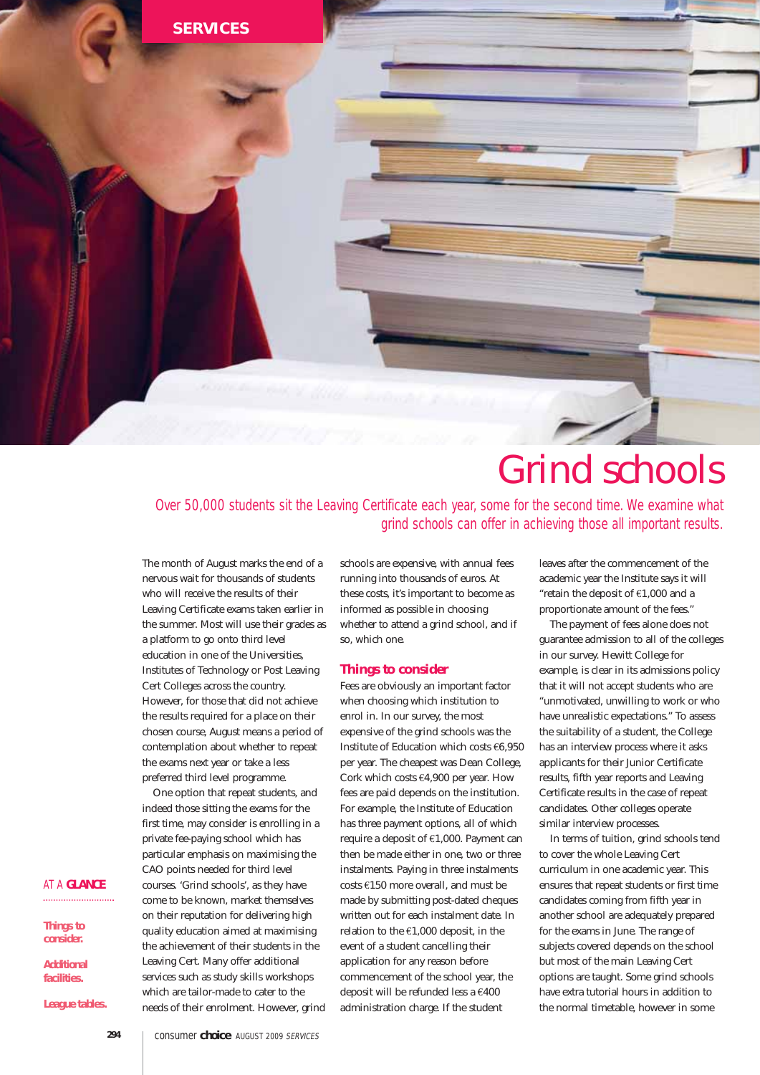

# Grind schools

Over 50,000 students sit the Leaving Certificate each year, some for the second time. We examine what grind schools can offer in achieving those all important results.

The month of August marks the end of a nervous wait for thousands of students who will receive the results of their Leaving Certificate exams taken earlier in the summer. Most will use their grades as a platform to go onto third level education in one of the Universities, Institutes of Technology or Post Leaving Cert Colleges across the country. However, for those that did not achieve the results required for a place on their chosen course, August means a period of contemplation about whether to repeat the exams next year or take a less preferred third level programme.

One option that repeat students, and indeed those sitting the exams for the first time, may consider is enrolling in a private fee-paying school which has particular emphasis on maximising the CAO points needed for third level courses. 'Grind schools', as they have come to be known, market themselves on their reputation for delivering high quality education aimed at maximising the achievement of their students in the Leaving Cert. Many offer additional services such as study skills workshops which are tailor-made to cater to the needs of their enrolment. However, grind schools are expensive, with annual fees running into thousands of euros. At these costs, it's important to become as informed as possible in choosing whether to attend a grind school, and if so, which one.

# **Things to consider**

Fees are obviously an important factor when choosing which institution to enrol in. In our survey, the most expensive of the grind schools was the Institute of Education which costs €6,950 per year. The cheapest was Dean College, Cork which costs €4,900 per year. How fees are paid depends on the institution. For example, the Institute of Education has three payment options, all of which require a deposit of €1,000. Payment can then be made either in one, two or three instalments. Paying in three instalments costs €150 more overall, and must be made by submitting post-dated cheques written out for each instalment date. In relation to the €1,000 deposit, in the event of a student cancelling their application for any reason before commencement of the school year, the deposit will be refunded less a €400 administration charge. If the student

leaves after the commencement of the academic year the Institute says it will "retain the deposit of €1,000 and a proportionate amount of the fees."

The payment of fees alone does not guarantee admission to all of the colleges in our survey. Hewitt College for example, is clear in its admissions policy that it will not accept students who are "unmotivated, unwilling to work or who have unrealistic expectations." To assess the suitability of a student, the College has an interview process where it asks applicants for their Junior Certificate results, fifth year reports and Leaving Certificate results in the case of repeat candidates. Other colleges operate similar interview processes.

In terms of tuition, grind schools tend to cover the whole Leaving Cert curriculum in one academic year. This ensures that repeat students or first time candidates coming from fifth year in another school are adequately prepared for the exams in June. The range of subjects covered depends on the school but most of the main Leaving Cert options are taught. Some grind schools have extra tutorial hours in addition to the normal timetable, however in some

#### AT A **GLANCE**

**Things to consider.**

**Additional facilities.**

**League tables.**